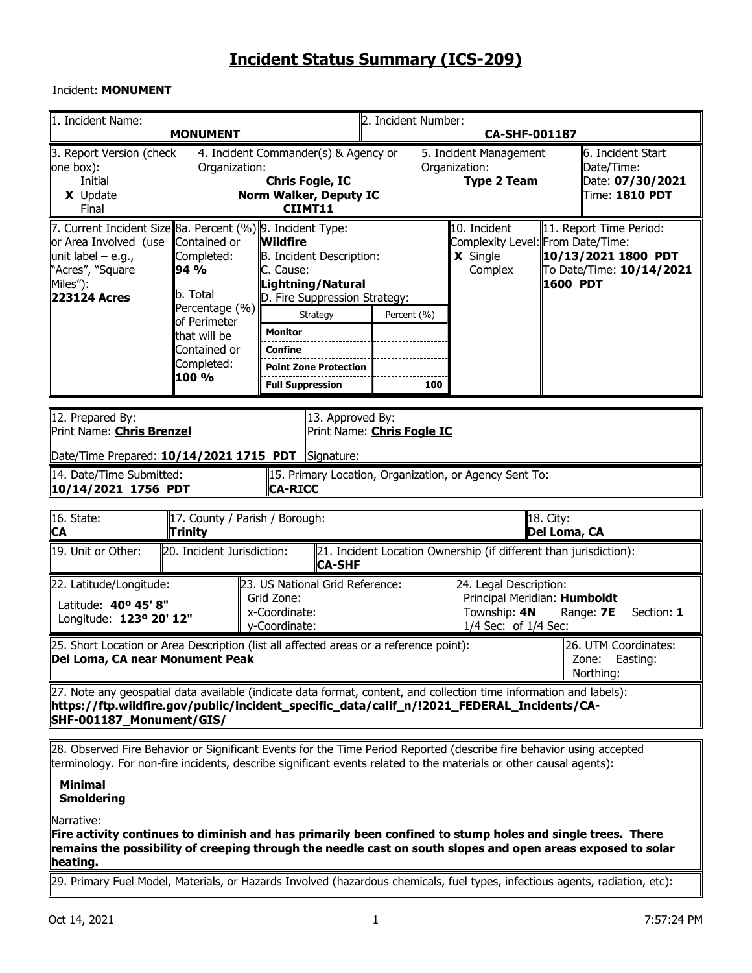## Incident: **MONUMENT**

| 1. Incident Name:                                                                                                                                                                                                                                            | <b>MONUMENT</b>                                                                                                                         |                                                                                                                                                                                                      | 2. Incident Number: |                                                               | <b>CA-SHF-001187</b>                                                                                      |                                                                                                     |                                                                            |  |  |  |  |
|--------------------------------------------------------------------------------------------------------------------------------------------------------------------------------------------------------------------------------------------------------------|-----------------------------------------------------------------------------------------------------------------------------------------|------------------------------------------------------------------------------------------------------------------------------------------------------------------------------------------------------|---------------------|---------------------------------------------------------------|-----------------------------------------------------------------------------------------------------------|-----------------------------------------------------------------------------------------------------|----------------------------------------------------------------------------|--|--|--|--|
| 3. Report Version (check<br>one box):<br>Initial<br>X Update<br>Final                                                                                                                                                                                        | Organization:                                                                                                                           | $\parallel$ 4. Incident Commander(s) & Agency or<br><b>Chris Fogle, IC</b><br><b>Norm Walker, Deputy IC</b><br>CIIMT11                                                                               |                     | 5. Incident Management<br>Organization:<br><b>Type 2 Team</b> |                                                                                                           | 6. Incident Start<br>Date/Time:<br>Date: 07/30/2021<br>$\textcolor{black}{\textsf{Time:}}$ 1810 PDT |                                                                            |  |  |  |  |
| 7. Current Incident Size 8a. Percent (%) 9. Incident Type:<br>or Area Involved (use<br>unit label $-$ e.g.,<br>"Acres", "Square<br>Miles"):<br>223124 Acres                                                                                                  | Contained or<br>Completed:<br>94 %<br>b. Total<br>Percentage (%)<br>of Perimeter<br>that will be<br>Contained or<br>Completed:<br>100 % | Wildfire<br>B. Incident Description:<br>C. Cause:<br>Lightning/Natural<br>D. Fire Suppression Strategy:<br>Strategy<br>Monitor<br>Confine<br><b>Point Zone Protection</b><br><b>Full Suppression</b> | Percent (%)         | 100                                                           | 10. Incident<br>Complexity Level: From Date/Time:<br>X Single<br>Complex                                  | 1600 PDT                                                                                            | 11. Report Time Period:<br>10/13/2021 1800 PDT<br>To Date/Time: 10/14/2021 |  |  |  |  |
| 12. Prepared By:<br>Print Name: <b>Chris Brenzel</b><br>Date/Time Prepared: $10/14/2021$ 1715 PDT                                                                                                                                                            |                                                                                                                                         | 13. Approved By:<br>Print Name: Chris Fogle IC<br>Signature:                                                                                                                                         |                     |                                                               |                                                                                                           |                                                                                                     |                                                                            |  |  |  |  |
| 14. Date/Time Submitted:<br>10/14/2021 1756 PDT                                                                                                                                                                                                              |                                                                                                                                         | 15. Primary Location, Organization, or Agency Sent To:<br><b>CA-RICC</b>                                                                                                                             |                     |                                                               |                                                                                                           |                                                                                                     |                                                                            |  |  |  |  |
| $\sqrt{16}$ . State:<br><b>CA</b>                                                                                                                                                                                                                            | 17. County / Parish / Borough:<br>Trinity                                                                                               |                                                                                                                                                                                                      |                     |                                                               |                                                                                                           | 18. City:<br>Del Loma, CA                                                                           |                                                                            |  |  |  |  |
| 19. Unit or Other:                                                                                                                                                                                                                                           | 20. Incident Jurisdiction:                                                                                                              | <b>CA-SHF</b>                                                                                                                                                                                        |                     |                                                               | 21. Incident Location Ownership (if different than jurisdiction):                                         |                                                                                                     |                                                                            |  |  |  |  |
| 22. Latitude/Longitude:<br>Latitude: 40° 45' 8"<br>Longitude: 123º 20' 12"                                                                                                                                                                                   |                                                                                                                                         | 23. US National Grid Reference:<br>Grid Zone:<br>x-Coordinate:<br>y-Coordinate:                                                                                                                      |                     |                                                               | 24. Legal Description:<br>Principal Meridian: Humboldt<br>Range: 7E<br>Section: 1<br>1/4 Sec: of 1/4 Sec: |                                                                                                     |                                                                            |  |  |  |  |
| [25. Short Location or Area Description (list all affected areas or a reference point):<br>26. UTM Coordinates:<br>Del Loma, CA near Monument Peak<br>Zone: Easting:<br>Northing:                                                                            |                                                                                                                                         |                                                                                                                                                                                                      |                     |                                                               |                                                                                                           |                                                                                                     |                                                                            |  |  |  |  |
| [27. Note any geospatial data available (indicate data format, content, and collection time information and labels):<br>https://ftp.wildfire.gov/public/incident_specific_data/calif_n/!2021_FEDERAL_Incidents/CA-<br>SHF-001187_Monument/GIS/               |                                                                                                                                         |                                                                                                                                                                                                      |                     |                                                               |                                                                                                           |                                                                                                     |                                                                            |  |  |  |  |
| 28. Observed Fire Behavior or Significant Events for the Time Period Reported (describe fire behavior using accepted<br>terminology. For non-fire incidents, describe significant events related to the materials or other causal agents):<br><b>Minimal</b> |                                                                                                                                         |                                                                                                                                                                                                      |                     |                                                               |                                                                                                           |                                                                                                     |                                                                            |  |  |  |  |

**Smoldering**

Narrative:

**Fire activity continues to diminish and has primarily been confined to stump holes and single trees. There remains the possibility of creeping through the needle cast on south slopes and open areas exposed to solar heating.**

29. Primary Fuel Model, Materials, or Hazards Involved (hazardous chemicals, fuel types, infectious agents, radiation, etc):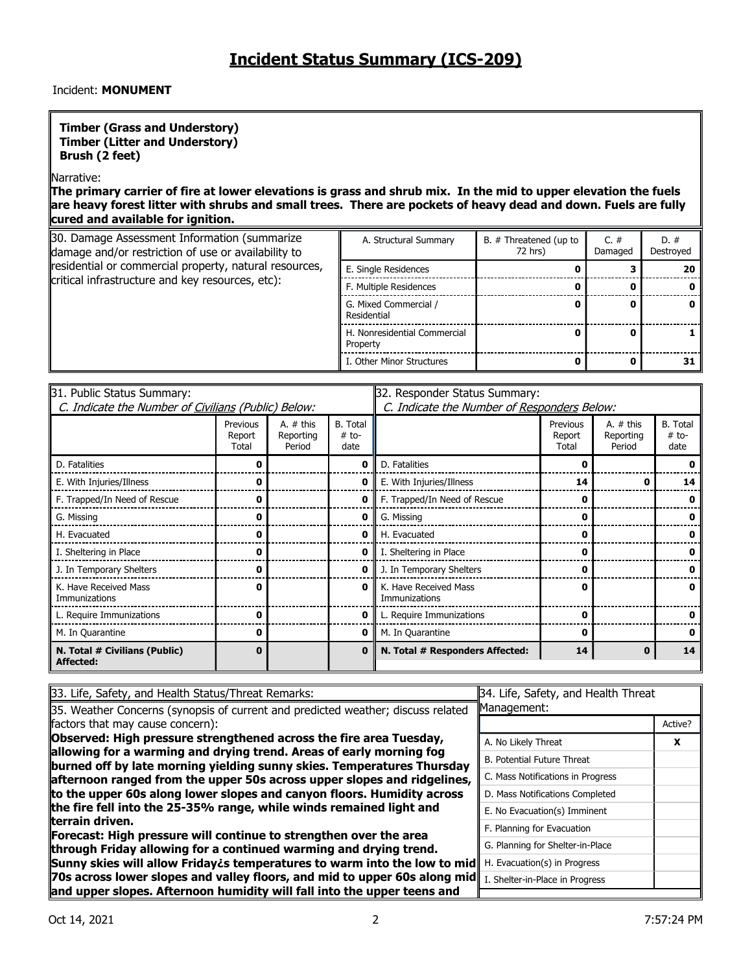## Incident: **MONUMENT**

#### **Timber (Grass and Understory) Timber (Litter and Understory) Brush (2 feet)**

#### Narrative:

**The primary carrier of fire at lower elevations is grass and shrub mix. In the mid to upper elevation the fuels are heavy forest litter with shrubs and small trees. There are pockets of heavy dead and down. Fuels are fully cured and available for ignition.**

| 30. Damage Assessment Information (summarize<br>damage and/or restriction of use or availability to | A. Structural Summary                    | B. # Threatened (up to<br>72 hrs) | C. $#$<br>Damaged | $D. \#$<br>Destroyed |
|-----------------------------------------------------------------------------------------------------|------------------------------------------|-----------------------------------|-------------------|----------------------|
| residential or commercial property, natural resources,                                              | E. Single Residences                     |                                   |                   | 20                   |
| critical infrastructure and key resources, etc):                                                    | F. Multiple Residences                   |                                   |                   | o                    |
|                                                                                                     | G. Mixed Commercial /<br>Residential     |                                   |                   |                      |
|                                                                                                     | H. Nonresidential Commercial<br>Property |                                   |                   |                      |
|                                                                                                     | I. Other Minor Structures                |                                   |                   | 31                   |

| 31. Public Status Summary:                          |                             |                                    | 32. Responder Status Summary:               |                                        |                             |                                    |                                    |  |  |  |
|-----------------------------------------------------|-----------------------------|------------------------------------|---------------------------------------------|----------------------------------------|-----------------------------|------------------------------------|------------------------------------|--|--|--|
| C. Indicate the Number of Civilians (Public) Below: |                             |                                    | C. Indicate the Number of Responders Below: |                                        |                             |                                    |                                    |  |  |  |
|                                                     | Previous<br>Report<br>Total | A. $#$ this<br>Reporting<br>Period | <b>B.</b> Total<br>$# to-$<br>date          |                                        | Previous<br>Report<br>Total | A. $#$ this<br>Reporting<br>Period | <b>B.</b> Total<br>$# to-$<br>date |  |  |  |
| D. Fatalities                                       |                             |                                    | 0                                           | D. Fatalities                          |                             |                                    |                                    |  |  |  |
| E. With Injuries/Illness                            |                             |                                    | 0                                           | E. With Injuries/Illness               | 14                          | o                                  | 14                                 |  |  |  |
| F. Trapped/In Need of Rescue                        |                             |                                    | 0                                           | F. Trapped/In Need of Rescue           |                             |                                    |                                    |  |  |  |
| G. Missing                                          |                             |                                    | 0                                           | G. Missing                             |                             |                                    |                                    |  |  |  |
| H. Evacuated                                        |                             |                                    | 0                                           | H. Evacuated                           |                             |                                    |                                    |  |  |  |
| I. Sheltering in Place                              |                             |                                    | 0                                           | I. Sheltering in Place                 |                             |                                    |                                    |  |  |  |
| J. In Temporary Shelters                            |                             |                                    | 0                                           | J. In Temporary Shelters               |                             |                                    |                                    |  |  |  |
| K. Have Received Mass<br>Immunizations              | 0                           |                                    | 0                                           | K. Have Received Mass<br>Immunizations |                             |                                    |                                    |  |  |  |
| L. Require Immunizations                            | n                           |                                    | 0                                           | L. Require Immunizations               |                             |                                    |                                    |  |  |  |
| M. In Quarantine                                    | 0                           |                                    | 0                                           | M. In Quarantine                       |                             |                                    |                                    |  |  |  |
| N. Total # Civilians (Public)<br>Affected:          | 0                           |                                    | 0                                           | N. Total # Responders Affected:        | 14                          | 0                                  | 14                                 |  |  |  |

| 33. Life, Safety, and Health Status/Threat Remarks:                                                                                           | 34. Life, Safety, and Health Threat |         |
|-----------------------------------------------------------------------------------------------------------------------------------------------|-------------------------------------|---------|
| 35. Weather Concerns (synopsis of current and predicted weather; discuss related                                                              | Management:                         |         |
| factors that may cause concern):                                                                                                              |                                     | Active? |
| Observed: High pressure strengthened across the fire area Tuesday,                                                                            | A. No Likely Threat                 | X       |
| allowing for a warming and drying trend. Areas of early morning fog<br>burned off by late morning yielding sunny skies. Temperatures Thursday | <b>B. Potential Future Threat</b>   |         |
| afternoon ranged from the upper 50s across upper slopes and ridgelines,                                                                       | C. Mass Notifications in Progress   |         |
| to the upper 60s along lower slopes and canyon floors. Humidity across                                                                        | D. Mass Notifications Completed     |         |
| the fire fell into the 25-35% range, while winds remained light and                                                                           | E. No Evacuation(s) Imminent        |         |
| lterrain driven.                                                                                                                              | F. Planning for Evacuation          |         |
| Forecast: High pressure will continue to strengthen over the area<br>through Friday allowing for a continued warming and drying trend.        | G. Planning for Shelter-in-Place    |         |
| Sunny skies will allow Fridaycs temperatures to warm into the low to mid                                                                      | H. Evacuation(s) in Progress        |         |
| 70s across lower slopes and valley floors, and mid to upper 60s along mid $\ $ I. Shelter-in-Place in Progress                                |                                     |         |
| and upper slopes. Afternoon humidity will fall into the upper teens and                                                                       |                                     |         |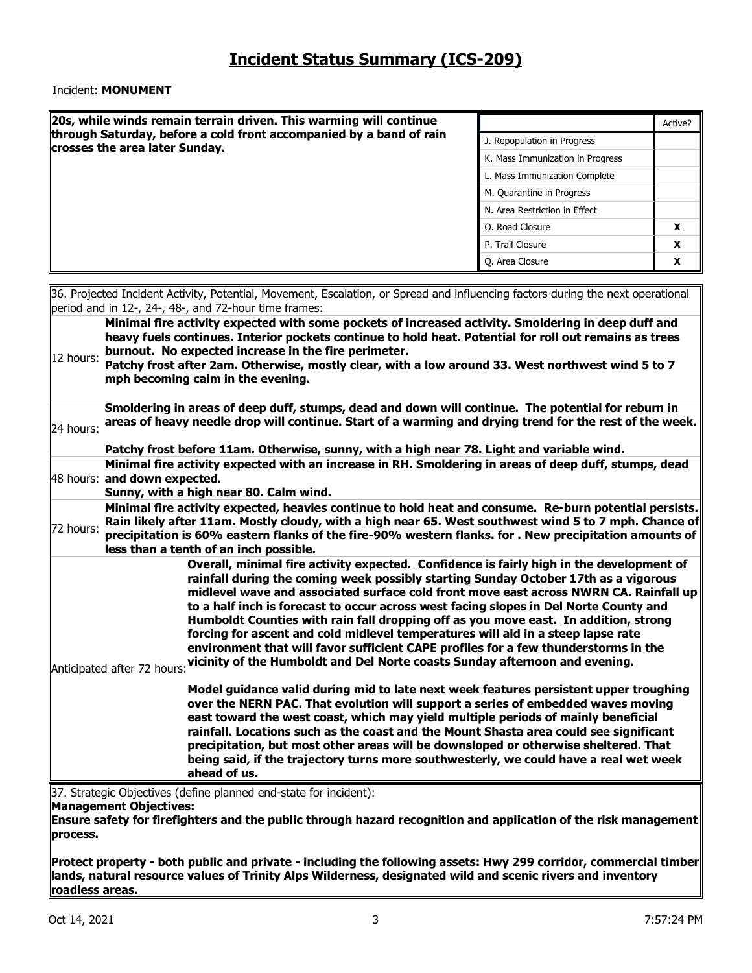#### Incident: **MONUMENT**

|           | $\vert$ 20s, while winds remain terrain driven. This warming will continue                                                                                                                                                                                                                                                                                                                                                                                                                                                                                                                                                                                                                                                                     |                                  | Active?  |
|-----------|------------------------------------------------------------------------------------------------------------------------------------------------------------------------------------------------------------------------------------------------------------------------------------------------------------------------------------------------------------------------------------------------------------------------------------------------------------------------------------------------------------------------------------------------------------------------------------------------------------------------------------------------------------------------------------------------------------------------------------------------|----------------------------------|----------|
|           | through Saturday, before a cold front accompanied by a band of rain                                                                                                                                                                                                                                                                                                                                                                                                                                                                                                                                                                                                                                                                            | J. Repopulation in Progress      |          |
|           | crosses the area later Sunday.                                                                                                                                                                                                                                                                                                                                                                                                                                                                                                                                                                                                                                                                                                                 | K. Mass Immunization in Progress |          |
|           |                                                                                                                                                                                                                                                                                                                                                                                                                                                                                                                                                                                                                                                                                                                                                | L. Mass Immunization Complete    |          |
|           |                                                                                                                                                                                                                                                                                                                                                                                                                                                                                                                                                                                                                                                                                                                                                | M. Quarantine in Progress        |          |
|           |                                                                                                                                                                                                                                                                                                                                                                                                                                                                                                                                                                                                                                                                                                                                                | N. Area Restriction in Effect    |          |
|           |                                                                                                                                                                                                                                                                                                                                                                                                                                                                                                                                                                                                                                                                                                                                                | O. Road Closure                  | x        |
|           |                                                                                                                                                                                                                                                                                                                                                                                                                                                                                                                                                                                                                                                                                                                                                | P. Trail Closure                 | X        |
|           |                                                                                                                                                                                                                                                                                                                                                                                                                                                                                                                                                                                                                                                                                                                                                | Q. Area Closure                  | <b>X</b> |
|           |                                                                                                                                                                                                                                                                                                                                                                                                                                                                                                                                                                                                                                                                                                                                                |                                  |          |
|           | 36. Projected Incident Activity, Potential, Movement, Escalation, or Spread and influencing factors during the next operational<br>period and in 12-, 24-, 48-, and 72-hour time frames:                                                                                                                                                                                                                                                                                                                                                                                                                                                                                                                                                       |                                  |          |
| 12 hours: | heavy fuels continues. Interior pockets continue to hold heat. Potential for roll out remains as trees<br>burnout. No expected increase in the fire perimeter.<br>Patchy frost after 2am. Otherwise, mostly clear, with a low around 33. West northwest wind 5 to 7<br>mph becoming calm in the evening.<br>Smoldering in areas of deep duff, stumps, dead and down will continue. The potential for reburn in                                                                                                                                                                                                                                                                                                                                 |                                  |          |
| 24 hours: | areas of heavy needle drop will continue. Start of a warming and drying trend for the rest of the week.<br>Patchy frost before 11am. Otherwise, sunny, with a high near 78. Light and variable wind.                                                                                                                                                                                                                                                                                                                                                                                                                                                                                                                                           |                                  |          |
|           | Minimal fire activity expected with an increase in RH. Smoldering in areas of deep duff, stumps, dead<br>48 hours: and down expected.<br>Sunny, with a high near 80. Calm wind.                                                                                                                                                                                                                                                                                                                                                                                                                                                                                                                                                                |                                  |          |
| 72 hours: | Minimal fire activity expected, heavies continue to hold heat and consume. Re-burn potential persists.<br>Rain likely after 11am. Mostly cloudy, with a high near 65. West southwest wind 5 to 7 mph. Chance of<br>precipitation is 60% eastern flanks of the fire-90% western flanks. for . New precipitation amounts of<br>less than a tenth of an inch possible.                                                                                                                                                                                                                                                                                                                                                                            |                                  |          |
|           | Overall, minimal fire activity expected. Confidence is fairly high in the development of<br>rainfall during the coming week possibly starting Sunday October 17th as a vigorous<br>midlevel wave and associated surface cold front move east across NWRN CA. Rainfall up<br>to a half inch is forecast to occur across west facing slopes in Del Norte County and<br>Humboldt Counties with rain fall dropping off as you move east. In addition, strong<br>forcing for ascent and cold midlevel temperatures will aid in a steep lapse rate<br>environment that will favor sufficient CAPE profiles for a few thunderstorms in the<br>Anticipated after 72 hours: vicinity of the Humboldt and Del Norte coasts Sunday afternoon and evening. |                                  |          |
|           | Model guidance valid during mid to late next week features persistent upper troughing<br>over the NERN PAC. That evolution will support a series of embedded waves moving<br>east toward the west coast, which may yield multiple periods of mainly beneficial<br>rainfall. Locations such as the coast and the Mount Shasta area could see significant<br>precipitation, but most other areas will be downsloped or otherwise sheltered. That<br>being said, if the trajectory turns more southwesterly, we could have a real wet week<br>ahead of us.<br>137. Strategic Objectives (define planned end-state for incident):                                                                                                                  |                                  |          |

egic Objectives (define planned end-state for incident):

#### **Management Objectives:**

**Ensure safety for firefighters and the public through hazard recognition and application of the risk management process.** 

**Protect property - both public and private - including the following assets: Hwy 299 corridor, commercial timber lands, natural resource values of Trinity Alps Wilderness, designated wild and scenic rivers and inventory roadless areas.** 

 $\mathsf{I}$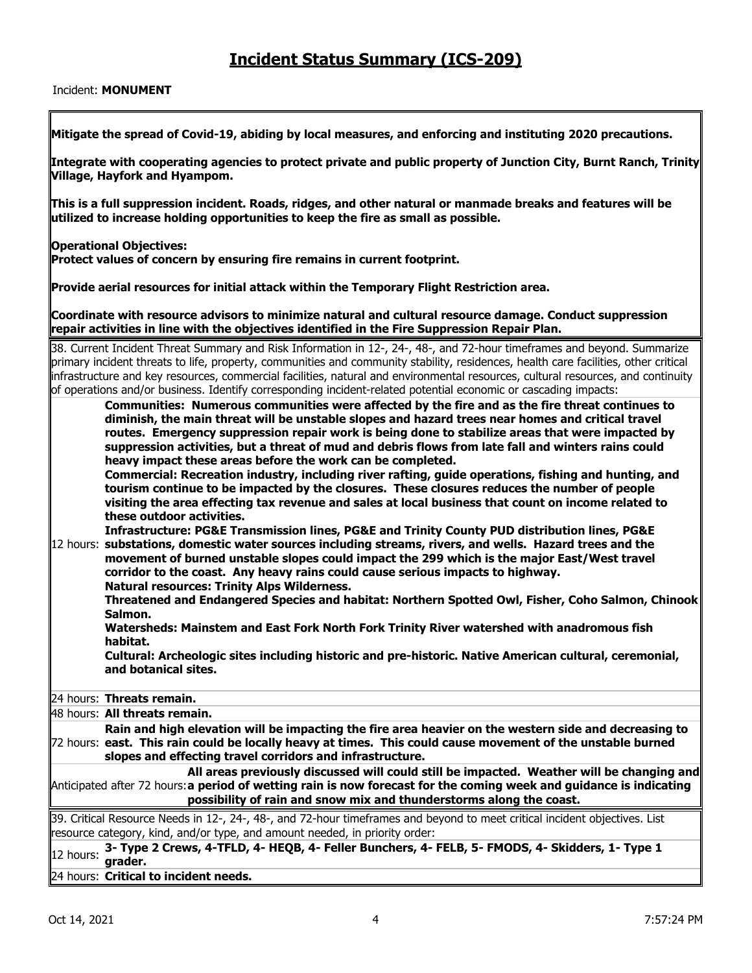#### Incident: **MONUMENT**

**Mitigate the spread of Covid-19, abiding by local measures, and enforcing and instituting 2020 precautions.** 

**Integrate with cooperating agencies to protect private and public property of Junction City, Burnt Ranch, Trinity Village, Hayfork and Hyampom.** 

**This is a full suppression incident. Roads, ridges, and other natural or manmade breaks and features will be utilized to increase holding opportunities to keep the fire as small as possible.** 

**Coordinate with resource advisors to minimize natural and cultural resource damage. Conduct suppression** 

**Operational Objectives:** 

Protect values of concern by ensuring fire remains in current footprint.

**Provide aerial resources for initial attack within the Temporary Flight Restriction area.** 

**repair activities in line with the objectives identified in the Fire Suppression Repair Plan.** 

38. Current Incident Threat Summary and Risk Information in 12-, 24-, 48-, and 72-hour timeframes and beyond. Summarize primary incident threats to life, property, communities and community stability, residences, health care facilities, other critical infrastructure and key resources, commercial facilities, natural and environmental resources, cultural resources, and continuity of operations and/or business. Identify corresponding incident-related potential economic or cascading impacts: 12 hours: **substations, domestic water sources including streams, rivers, and wells. Hazard trees and the Communities: Numerous communities were affected by the fire and as the fire threat continues to diminish, the main threat will be unstable slopes and hazard trees near homes and critical travel routes. Emergency suppression repair work is being done to stabilize areas that were impacted by suppression activities, but a threat of mud and debris flows from late fall and winters rains could heavy impact these areas before the work can be completed. Commercial: Recreation industry, including river rafting, guide operations, fishing and hunting, and tourism continue to be impacted by the closures. These closures reduces the number of people visiting the area effecting tax revenue and sales at local business that count on income related to these outdoor activities. Infrastructure: PG&E Transmission lines, PG&E and Trinity County PUD distribution lines, PG&E movement of burned unstable slopes could impact the 299 which is the major East/West travel corridor to the coast. Any heavy rains could cause serious impacts to highway. Natural resources: Trinity Alps Wilderness. Threatened and Endangered Species and habitat: Northern Spotted Owl, Fisher, Coho Salmon, Chinook Salmon. Watersheds: Mainstem and East Fork North Fork Trinity River watershed with anadromous fish habitat. Cultural: Archeologic sites including historic and pre-historic. Native American cultural, ceremonial, and botanical sites.** 24 hours: **Threats remain.** 48 hours: **All threats remain.** 72 hours: **east. This rain could be locally heavy at times. This could cause movement of the unstable burned Rain and high elevation will be impacting the fire area heavier on the western side and decreasing to slopes and effecting travel corridors and infrastructure.** Anticipated after 72 hours: **a period of wetting rain is now forecast for the coming week and guidance is indicating All areas previously discussed will could still be impacted. Weather will be changing and possibility of rain and snow mix and thunderstorms along the coast.** 39. Critical Resource Needs in 12-, 24-, 48-, and 72-hour timeframes and beyond to meet critical incident objectives. List resource category, kind, and/or type, and amount needed, in priority order: 12 hours: **3- Type 2 Crews, 4-TFLD, 4- HEQB, 4- Feller Bunchers, 4- FELB, 5- FMODS, 4- Skidders, 1- Type 1 grader.** 24 hours: **Critical to incident needs.**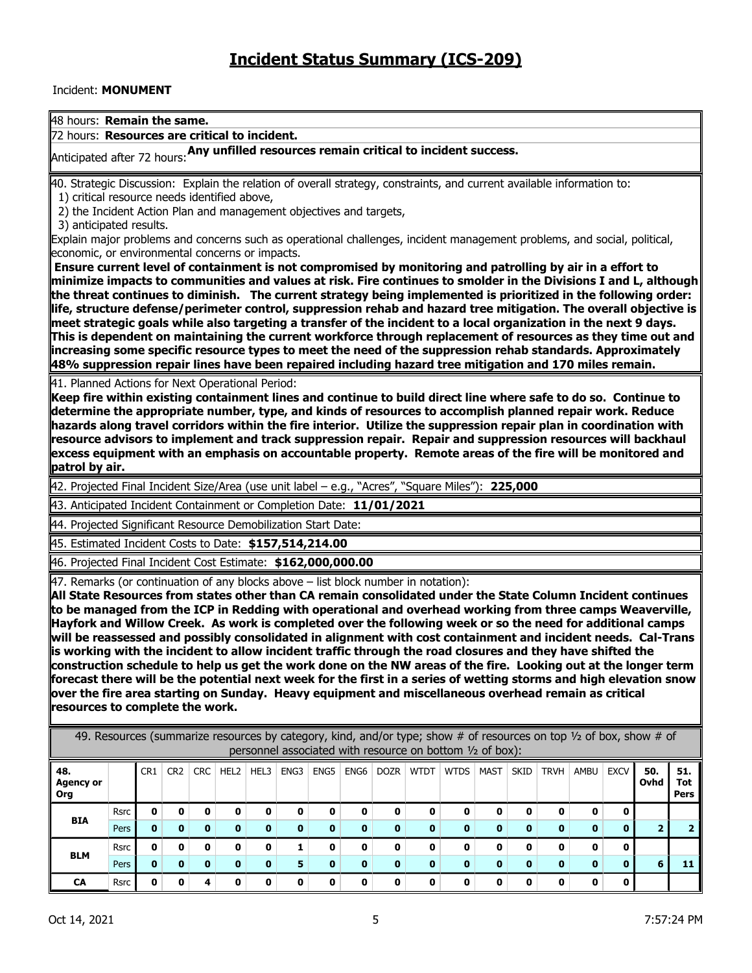## Incident: **MONUMENT**

48 hours: **Remain the same.**

72 hours: **Resources are critical to incident.** 

Anticipated after 72 hours:**Any unfilled resources remain critical to incident success.** 

40. Strategic Discussion: Explain the relation of overall strategy, constraints, and current available information to:

1) critical resource needs identified above,

2) the Incident Action Plan and management objectives and targets,

3) anticipated results.

Explain major problems and concerns such as operational challenges, incident management problems, and social, political, economic, or environmental concerns or impacts.

 **Ensure current level of containment is not compromised by monitoring and patrolling by air in a effort to minimize impacts to communities and values at risk. Fire continues to smolder in the Divisions I and L, although the threat continues to diminish. The current strategy being implemented is prioritized in the following order: life, structure defense/perimeter control, suppression rehab and hazard tree mitigation. The overall objective is**  meet strategic goals while also targeting a transfer of the incident to a local organization in the next 9 days. **This is dependent on maintaining the current workforce through replacement of resources as they time out and increasing some specific resource types to meet the need of the suppression rehab standards. Approximately 48% suppression repair lines have been repaired including hazard tree mitigation and 170 miles remain.** 

41. Planned Actions for Next Operational Period:

**Keep fire within existing containment lines and continue to build direct line where safe to do so. Continue to determine the appropriate number, type, and kinds of resources to accomplish planned repair work. Reduce hazards along travel corridors within the fire interior. Utilize the suppression repair plan in coordination with resource advisors to implement and track suppression repair. Repair and suppression resources will backhaul excess equipment with an emphasis on accountable property. Remote areas of the fire will be monitored and patrol by air.**

42. Projected Final Incident Size/Area (use unit label – e.g., "Acres", "Square Miles"): **225,000**

43. Anticipated Incident Containment or Completion Date: **11/01/2021**

44. Projected Significant Resource Demobilization Start Date:

45. Estimated Incident Costs to Date: **\$157,514,214.00**

46. Projected Final Incident Cost Estimate: **\$162,000,000.00**

47. Remarks (or continuation of any blocks above – list block number in notation):

**All State Resources from states other than CA remain consolidated under the State Column Incident continues to be managed from the ICP in Redding with operational and overhead working from three camps Weaverville, Hayfork and Willow Creek. As work is completed over the following week or so the need for additional camps will be reassessed and possibly consolidated in alignment with cost containment and incident needs. Cal-Trans is working with the incident to allow incident traffic through the road closures and they have shifted the construction schedule to help us get the work done on the NW areas of the fire. Looking out at the longer term forecast there will be the potential next week for the first in a series of wetting storms and high elevation snow over the fire area starting on Sunday. Heavy equipment and miscellaneous overhead remain as critical resources to complete the work.**

| 49. Resources (summarize resources by category, kind, and/or type; show # of resources on top 1/2 of box, show # of<br>personnel associated with resource on bottom 1/2 of box): |             |                 |                 |     |      |      |          |              |      |              |             |             |      |      |             |              |              |             |                    |
|----------------------------------------------------------------------------------------------------------------------------------------------------------------------------------|-------------|-----------------|-----------------|-----|------|------|----------|--------------|------|--------------|-------------|-------------|------|------|-------------|--------------|--------------|-------------|--------------------|
| 48.<br><b>Agency or</b><br><b>Org</b>                                                                                                                                            |             | CR <sub>1</sub> | CR <sub>2</sub> | CRC | HEL2 | HEL3 | ENG3     | ENG5         | ENG6 | DOZR         | <b>WTDT</b> | <b>WTDS</b> | MAST | SKID | <b>TRVH</b> | AMBU         | EXCV         | 50.<br>Ovhd | 51.<br>Tot<br>Pers |
| <b>BIA</b>                                                                                                                                                                       | <b>Rsrc</b> |                 |                 |     |      |      | 0        | 0            | 0    | 0            | 0           |             | n.   | o    | 0           | 0            | $\mathbf{0}$ |             |                    |
|                                                                                                                                                                                  | Pers        | 0               |                 | n.  |      |      | $\bf{0}$ | $\mathbf{0}$ | 0    | n            | n.          |             |      |      | $\mathbf o$ | $\mathbf{0}$ | 0            |             |                    |
|                                                                                                                                                                                  | <b>Rsrc</b> | n               | Ω               |     |      |      |          | 0            | 0    | <sup>0</sup> | 0           |             | n.   | O    | ŋ           | 0            | $\mathbf{0}$ |             |                    |
| <b>BLM</b>                                                                                                                                                                       | Pers        | 0               | n               | n.  |      |      | 5        | $\bf{0}$     | 0    | $\bf{0}$     | 0           |             |      | O    | $\mathbf o$ | $\mathbf{0}$ | 0            | 6           |                    |
| CA                                                                                                                                                                               | <b>Rsrc</b> | n               | Λ               | 4   |      |      | 0        | 0            | 0    | <sup>0</sup> | 0           |             | n.   | n    | O           | 0            | $\mathbf 0$  |             |                    |